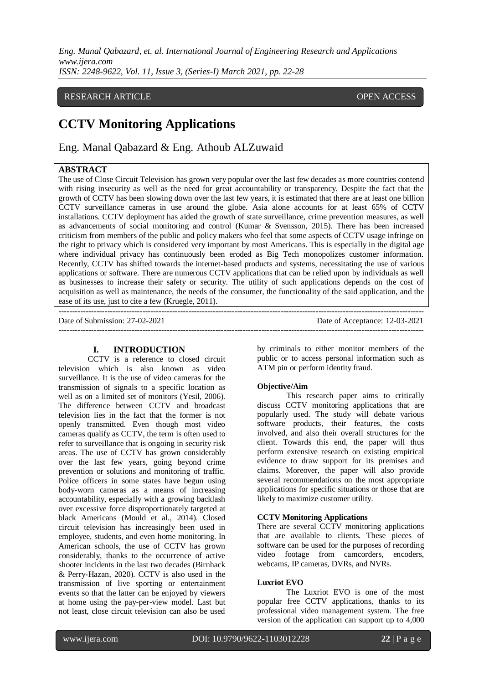# RESEARCH ARTICLE **CONSERVERS** OPEN ACCESS

# **CCTV Monitoring Applications**

Eng. Manal Qabazard & Eng. Athoub ALZuwaid

# **ABSTRACT**

The use of Close Circuit Television has grown very popular over the last few decades as more countries contend with rising insecurity as well as the need for great accountability or transparency. Despite the fact that the growth of CCTV has been slowing down over the last few years, it is estimated that there are at least one billion CCTV surveillance cameras in use around the globe. Asia alone accounts for at least 65% of CCTV installations. CCTV deployment has aided the growth of state surveillance, crime prevention measures, as well as advancements of social monitoring and control (Kumar & Svensson, 2015). There has been increased criticism from members of the public and policy makers who feel that some aspects of CCTV usage infringe on the right to privacy which is considered very important by most Americans. This is especially in the digital age where individual privacy has continuously been eroded as Big Tech monopolizes customer information. Recently, CCTV has shifted towards the internet-based products and systems, necessitating the use of various applications or software. There are numerous CCTV applications that can be relied upon by individuals as well as businesses to increase their safety or security. The utility of such applications depends on the cost of acquisition as well as maintenance, the needs of the consumer, the functionality of the said application, and the ease of its use, just to cite a few (Kruegle, 2011).

---------------------------------------------------------------------------------------------------------------------------------------

--------------------------------------------------------------------------------------------------------------------------------------- Date of Submission: 27-02-2021 Date of Acceptance: 12-03-2021

#### **I. INTRODUCTION**

CCTV is a reference to closed circuit television which is also known as video surveillance. It is the use of video cameras for the transmission of signals to a specific location as well as on a limited set of monitors (Yesil, 2006). The difference between CCTV and broadcast television lies in the fact that the former is not openly transmitted. Even though most video cameras qualify as CCTV, the term is often used to refer to surveillance that is ongoing in security risk areas. The use of CCTV has grown considerably over the last few years, going beyond crime prevention or solutions and monitoring of traffic. Police officers in some states have begun using body-worn cameras as a means of increasing accountability, especially with a growing backlash over excessive force disproportionately targeted at black Americans (Mould et al., 2014). Closed circuit television has increasingly been used in employee, students, and even home monitoring. In American schools, the use of CCTV has grown considerably, thanks to the occurrence of active shooter incidents in the last two decades (Birnhack & Perry-Hazan, 2020). CCTV is also used in the transmission of live sporting or entertainment events so that the latter can be enjoyed by viewers at home using the pay-per-view model. Last but not least, close circuit television can also be used

by criminals to either monitor members of the public or to access personal information such as ATM pin or perform identity fraud.

#### **Objective/Aim**

This research paper aims to critically discuss CCTV monitoring applications that are popularly used. The study will debate various software products, their features, the costs involved, and also their overall structures for the client. Towards this end, the paper will thus perform extensive research on existing empirical evidence to draw support for its premises and claims. Moreover, the paper will also provide several recommendations on the most appropriate applications for specific situations or those that are likely to maximize customer utility.

#### **CCTV Monitoring Applications**

There are several CCTV monitoring applications that are available to clients. These pieces of software can be used for the purposes of recording video footage from camcorders, encoders, webcams, IP cameras, DVRs, and NVRs.

#### **Luxriot EVO**

The Luxriot EVO is one of the most popular free CCTV applications, thanks to its professional video management system. The free version of the application can support up to 4,000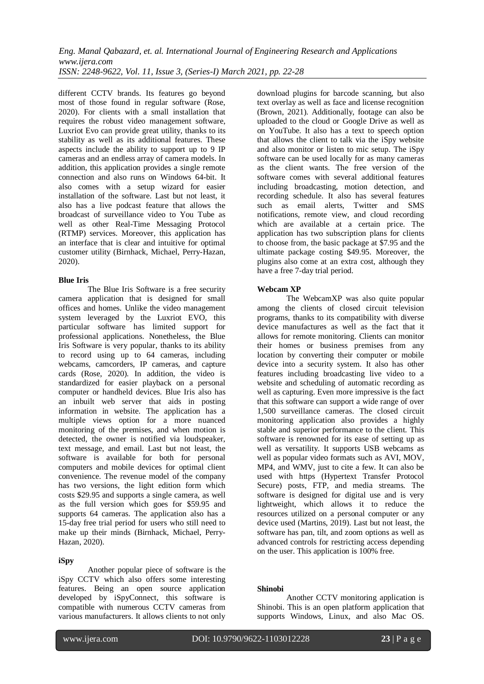different CCTV brands. Its features go beyond most of those found in regular software (Rose, 2020). For clients with a small installation that requires the robust video management software, Luxriot Evo can provide great utility, thanks to its stability as well as its additional features. These aspects include the ability to support up to 9 IP cameras and an endless array of camera models. In addition, this application provides a single remote connection and also runs on Windows 64-bit. It also comes with a setup wizard for easier installation of the software. Last but not least, it also has a live podcast feature that allows the broadcast of surveillance video to You Tube as well as other Real-Time Messaging Protocol (RTMP) services. Moreover, this application has an interface that is clear and intuitive for optimal customer utility (Birnhack, Michael, Perry-Hazan, 2020).

#### **Blue Iris**

The Blue Iris Software is a free security camera application that is designed for small offices and homes. Unlike the video management system leveraged by the Luxriot EVO, this particular software has limited support for professional applications. Nonetheless, the Blue Iris Software is very popular, thanks to its ability to record using up to 64 cameras, including webcams, camcorders, IP cameras, and capture cards (Rose, 2020). In addition, the video is standardized for easier playback on a personal computer or handheld devices. Blue Iris also has an inbuilt web server that aids in posting information in website. The application has a multiple views option for a more nuanced monitoring of the premises, and when motion is detected, the owner is notified via loudspeaker, text message, and email. Last but not least, the software is available for both for personal computers and mobile devices for optimal client convenience. The revenue model of the company has two versions, the light edition form which costs \$29.95 and supports a single camera, as well as the full version which goes for \$59.95 and supports 64 cameras. The application also has a 15-day free trial period for users who still need to make up their minds (Birnhack, Michael, Perry-Hazan, 2020).

#### **iSpy**

l

Another popular piece of software is the iSpy CCTV which also offers some interesting features. Being an open source application developed by iSpyConnect, this software is compatible with numerous CCTV cameras from various manufacturers. It allows clients to not only download plugins for barcode scanning, but also text overlay as well as face and license recognition (Brown, 2021). Additionally, footage can also be uploaded to the cloud or Google Drive as well as on YouTube. It also has a text to speech option that allows the client to talk via the iSpy website and also monitor or listen to mic setup. The iSpy software can be used locally for as many cameras as the client wants. The free version of the software comes with several additional features including broadcasting, motion detection, and recording schedule. It also has several features such as email alerts, Twitter and SMS notifications, remote view, and cloud recording which are available at a certain price. The application has two subscription plans for clients to choose from, the basic package at \$7.95 and the ultimate package costing \$49.95. Moreover, the plugins also come at an extra cost, although they have a free 7-day trial period.

## **Webcam XP**

The WebcamXP was also quite popular among the clients of closed circuit television programs, thanks to its compatibility with diverse device manufactures as well as the fact that it allows for remote monitoring. Clients can monitor their homes or business premises from any location by converting their computer or mobile device into a security system. It also has other features including broadcasting live video to a website and scheduling of automatic recording as well as capturing. Even more impressive is the fact that this software can support a wide range of over 1,500 surveillance cameras. The closed circuit monitoring application also provides a highly stable and superior performance to the client. This software is renowned for its ease of setting up as well as versatility. It supports USB webcams as well as popular video formats such as AVI, MOV, MP4, and WMV, just to cite a few. It can also be used with https (Hypertext Transfer Protocol Secure) posts, FTP, and media streams. The software is designed for digital use and is very lightweight, which allows it to reduce the resources utilized on a personal computer or any device used (Martins, 2019). Last but not least, the software has pan, tilt, and zoom options as well as advanced controls for restricting access depending on the user. This application is 100% free.

#### **Shinobi**

Another CCTV monitoring application is Shinobi. This is an open platform application that supports Windows, Linux, and also Mac OS.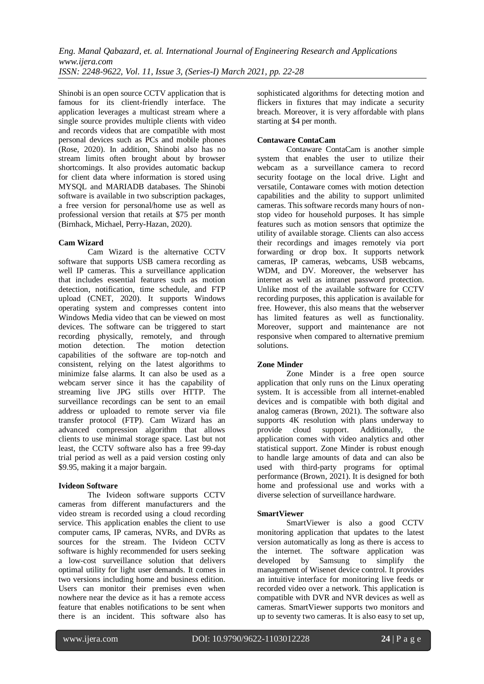Shinobi is an open source CCTV application that is famous for its client-friendly interface. The application leverages a multicast stream where a single source provides multiple clients with video and records videos that are compatible with most personal devices such as PCs and mobile phones (Rose, 2020). In addition, Shinobi also has no stream limits often brought about by browser shortcomings. It also provides automatic backup for client data where information is stored using MYSQL and MARIADB databases. The Shinobi software is available in two subscription packages, a free version for personal/home use as well as professional version that retails at \$75 per month (Birnhack, Michael, Perry-Hazan, 2020).

## **Cam Wizard**

Cam Wizard is the alternative CCTV software that supports USB camera recording as well IP cameras. This a surveillance application that includes essential features such as motion detection, notification, time schedule, and FTP upload (CNET, 2020). It supports Windows operating system and compresses content into Windows Media video that can be viewed on most devices. The software can be triggered to start recording physically, remotely, and through motion detection. The motion detection capabilities of the software are top-notch and consistent, relying on the latest algorithms to minimize false alarms. It can also be used as a webcam server since it has the capability of streaming live JPG stills over HTTP. The surveillance recordings can be sent to an email address or uploaded to remote server via file transfer protocol (FTP). Cam Wizard has an advanced compression algorithm that allows clients to use minimal storage space. Last but not least, the CCTV software also has a free 99-day trial period as well as a paid version costing only \$9.95, making it a major bargain.

#### **Ivideon Software**

The Ivideon software supports CCTV cameras from different manufacturers and the video stream is recorded using a cloud recording service. This application enables the client to use computer cams, IP cameras, NVRs, and DVRs as sources for the stream. The Ivideon CCTV software is highly recommended for users seeking a low-cost surveillance solution that delivers optimal utility for light user demands. It comes in two versions including home and business edition. Users can monitor their premises even when nowhere near the device as it has a remote access feature that enables notifications to be sent when there is an incident. This software also has sophisticated algorithms for detecting motion and flickers in fixtures that may indicate a security breach. Moreover, it is very affordable with plans starting at \$4 per month.

# **Contaware ContaCam**

Contaware ContaCam is another simple system that enables the user to utilize their webcam as a surveillance camera to record security footage on the local drive. Light and versatile, Contaware comes with motion detection capabilities and the ability to support unlimited cameras. This software records many hours of nonstop video for household purposes. It has simple features such as motion sensors that optimize the utility of available storage. Clients can also access their recordings and images remotely via port forwarding or drop box. It supports network cameras, IP cameras, webcams, USB webcams, WDM, and DV. Moreover, the webserver has internet as well as intranet password protection. Unlike most of the available software for CCTV recording purposes, this application is available for free. However, this also means that the webserver has limited features as well as functionality. Moreover, support and maintenance are not responsive when compared to alternative premium solutions.

#### **Zone Minder**

Zone Minder is a free open source application that only runs on the Linux operating system. It is accessible from all internet-enabled devices and is compatible with both digital and analog cameras (Brown, 2021). The software also supports 4K resolution with plans underway to provide cloud support. Additionally, the provide cloud support. Additionally, the application comes with video analytics and other statistical support. Zone Minder is robust enough to handle large amounts of data and can also be used with third-party programs for optimal performance (Brown, 2021). It is designed for both home and professional use and works with a diverse selection of surveillance hardware.

#### **SmartViewer**

SmartViewer is also a good CCTV monitoring application that updates to the latest version automatically as long as there is access to the internet. The software application was developed by Samsung to simplify the management of Wisenet device control. It provides an intuitive interface for monitoring live feeds or recorded video over a network. This application is compatible with DVR and NVR devices as well as cameras. SmartViewer supports two monitors and up to seventy two cameras. It is also easy to set up,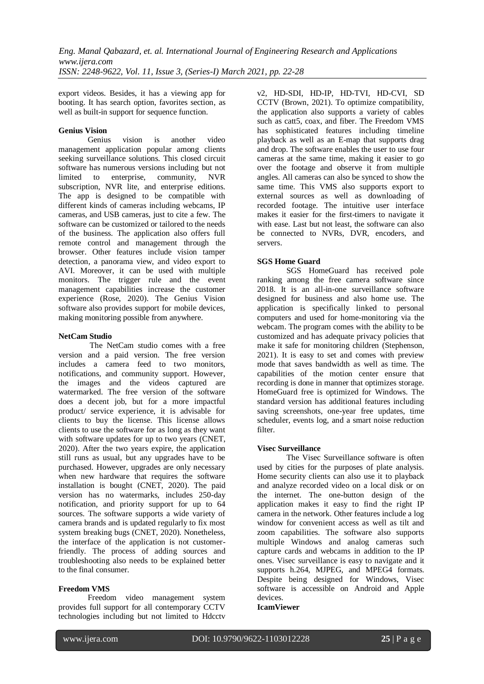export videos. Besides, it has a viewing app for booting. It has search option, favorites section, as well as built-in support for sequence function.

# **Genius Vision**

vision is another video management application popular among clients seeking surveillance solutions. This closed circuit software has numerous versions including but not<br>limited to enterprise, community, NVR enterprise, community, NVR subscription, NVR lite, and enterprise editions. The app is designed to be compatible with different kinds of cameras including webcams, IP cameras, and USB cameras, just to cite a few. The software can be customized or tailored to the needs of the business. The application also offers full remote control and management through the browser. Other features include vision tamper detection, a panorama view, and video export to AVI. Moreover, it can be used with multiple monitors. The trigger rule and the event management capabilities increase the customer experience (Rose, 2020). The Genius Vision software also provides support for mobile devices, making monitoring possible from anywhere.

#### **NetCam Studio**

The NetCam studio comes with a free version and a paid version. The free version includes a camera feed to two monitors, notifications, and community support. However, the images and the videos captured are watermarked. The free version of the software does a decent job, but for a more impactful product/ service experience, it is advisable for clients to buy the license. This license allows clients to use the software for as long as they want with software updates for up to two years (CNET, 2020). After the two years expire, the application still runs as usual, but any upgrades have to be purchased. However, upgrades are only necessary when new hardware that requires the software installation is bought (CNET, 2020). The paid version has no watermarks, includes 250-day notification, and priority support for up to 64 sources. The software supports a wide variety of camera brands and is updated regularly to fix most system breaking bugs (CNET, 2020). Nonetheless, the interface of the application is not customerfriendly. The process of adding sources and troubleshooting also needs to be explained better to the final consumer.

#### **Freedom VMS**

Freedom video management system provides full support for all contemporary CCTV technologies including but not limited to Hdcctv v2, HD-SDI, HD-IP, HD-TVI, HD-CVI, SD CCTV (Brown, 2021). To optimize compatibility, the application also supports a variety of cables such as catt5, coax, and fiber. The Freedom VMS has sophisticated features including timeline playback as well as an E-map that supports drag and drop. The software enables the user to use four cameras at the same time, making it easier to go over the footage and observe it from multiple angles. All cameras can also be synced to show the same time. This VMS also supports export to external sources as well as downloading of recorded footage. The intuitive user interface makes it easier for the first-timers to navigate it with ease. Last but not least, the software can also be connected to NVRs, DVR, encoders, and servers.

# **SGS Home Guard**

SGS HomeGuard has received pole ranking among the free camera software since 2018. It is an all-in-one surveillance software designed for business and also home use. The application is specifically linked to personal computers and used for home-monitoring via the webcam. The program comes with the ability to be customized and has adequate privacy policies that make it safe for monitoring children (Stephenson, 2021). It is easy to set and comes with preview mode that saves bandwidth as well as time. The capabilities of the motion center ensure that recording is done in manner that optimizes storage. HomeGuard free is optimized for Windows. The standard version has additional features including saving screenshots, one-year free updates, time scheduler, events log, and a smart noise reduction filter.

# **Visec Surveillance**

The Visec Surveillance software is often used by cities for the purposes of plate analysis. Home security clients can also use it to playback and analyze recorded video on a local disk or on the internet. The one-button design of the application makes it easy to find the right IP camera in the network. Other features include a log window for convenient access as well as tilt and zoom capabilities. The software also supports multiple Windows and analog cameras such capture cards and webcams in addition to the IP ones. Visec surveillance is easy to navigate and it supports h.264, MJPEG, and MPEG4 formats. Despite being designed for Windows, Visec software is accessible on Android and Apple devices.

#### **IcamViewer**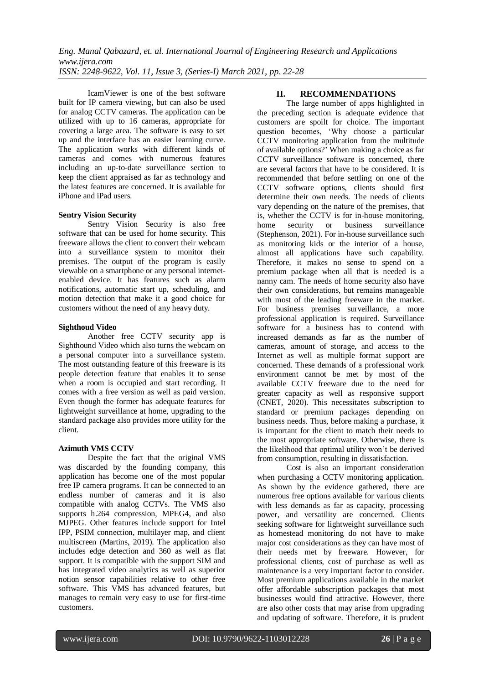IcamViewer is one of the best software built for IP camera viewing, but can also be used for analog CCTV cameras. The application can be utilized with up to 16 cameras, appropriate for covering a large area. The software is easy to set up and the interface has an easier learning curve. The application works with different kinds of cameras and comes with numerous features including an up-to-date surveillance section to keep the client appraised as far as technology and the latest features are concerned. It is available for iPhone and iPad users.

#### **Sentry Vision Security**

Sentry Vision Security is also free software that can be used for home security. This freeware allows the client to convert their webcam into a surveillance system to monitor their premises. The output of the program is easily viewable on a smartphone or any personal internetenabled device. It has features such as alarm notifications, automatic start up, scheduling, and motion detection that make it a good choice for customers without the need of any heavy duty.

#### **Sighthoud Video**

Another free CCTV security app is Sighthound Video which also turns the webcam on a personal computer into a surveillance system. The most outstanding feature of this freeware is its people detection feature that enables it to sense when a room is occupied and start recording. It comes with a free version as well as paid version. Even though the former has adequate features for lightweight surveillance at home, upgrading to the standard package also provides more utility for the client.

#### **Azimuth VMS CCTV**

Despite the fact that the original VMS was discarded by the founding company, this application has become one of the most popular free IP camera programs. It can be connected to an endless number of cameras and it is also compatible with analog CCTVs. The VMS also supports h.264 compression, MPEG4, and also MJPEG. Other features include support for Intel IPP, PSIM connection, multilayer map, and client multiscreen (Martins, 2019). The application also includes edge detection and 360 as well as flat support. It is compatible with the support SIM and has integrated video analytics as well as superior notion sensor capabilities relative to other free software. This VMS has advanced features, but manages to remain very easy to use for first-time customers.

#### **II. RECOMMENDATIONS**

The large number of apps highlighted in the preceding section is adequate evidence that customers are spoilt for choice. The important question becomes, 'Why choose a particular CCTV monitoring application from the multitude of available options?' When making a choice as far CCTV surveillance software is concerned, there are several factors that have to be considered. It is recommended that before settling on one of the CCTV software options, clients should first determine their own needs. The needs of clients vary depending on the nature of the premises, that is, whether the CCTV is for in-house monitoring, home security or business surveillance (Stephenson, 2021). For in-house surveillance such as monitoring kids or the interior of a house, almost all applications have such capability. Therefore, it makes no sense to spend on a premium package when all that is needed is a nanny cam. The needs of home security also have their own considerations, but remains manageable with most of the leading freeware in the market. For business premises surveillance, a more professional application is required. Surveillance software for a business has to contend with increased demands as far as the number of cameras, amount of storage, and access to the Internet as well as multiple format support are concerned. These demands of a professional work environment cannot be met by most of the available CCTV freeware due to the need for greater capacity as well as responsive support (CNET, 2020). This necessitates subscription to standard or premium packages depending on business needs. Thus, before making a purchase, it is important for the client to match their needs to the most appropriate software. Otherwise, there is the likelihood that optimal utility won't be derived from consumption, resulting in dissatisfaction.

Cost is also an important consideration when purchasing a CCTV monitoring application. As shown by the evidence gathered, there are numerous free options available for various clients with less demands as far as capacity, processing power, and versatility are concerned. Clients seeking software for lightweight surveillance such as homestead monitoring do not have to make major cost considerations as they can have most of their needs met by freeware. However, for professional clients, cost of purchase as well as maintenance is a very important factor to consider. Most premium applications available in the market offer affordable subscription packages that most businesses would find attractive. However, there are also other costs that may arise from upgrading and updating of software. Therefore, it is prudent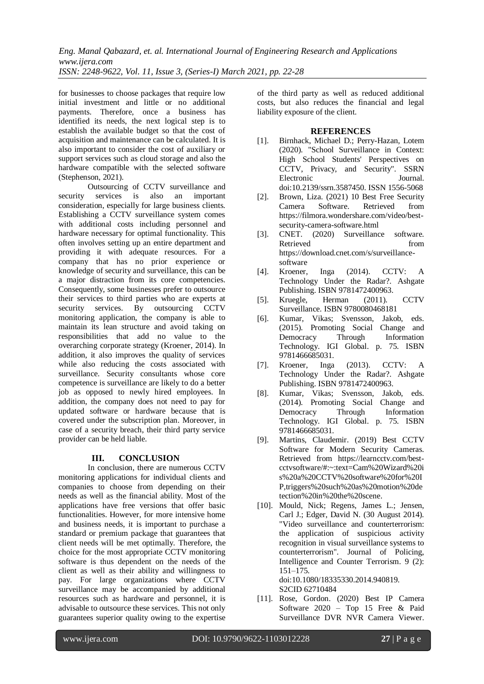for businesses to choose packages that require low initial investment and little or no additional payments. Therefore, once a business has identified its needs, the next logical step is to establish the available budget so that the cost of acquisition and maintenance can be calculated. It is also important to consider the cost of auxiliary or support services such as cloud storage and also the hardware compatible with the selected software (Stephenson, 2021).

Outsourcing of CCTV surveillance and security services is also an important consideration, especially for large business clients. Establishing a CCTV surveillance system comes with additional costs including personnel and hardware necessary for optimal functionality. This often involves setting up an entire department and providing it with adequate resources. For a company that has no prior experience or knowledge of security and surveillance, this can be a major distraction from its core competencies. Consequently, some businesses prefer to outsource their services to third parties who are experts at security services. By outsourcing CCTV monitoring application, the company is able to maintain its lean structure and avoid taking on responsibilities that add no value to the overarching corporate strategy (Kroener, 2014). In addition, it also improves the quality of services while also reducing the costs associated with surveillance. Security consultants whose core competence is surveillance are likely to do a better job as opposed to newly hired employees. In addition, the company does not need to pay for updated software or hardware because that is covered under the subscription plan. Moreover, in case of a security breach, their third party service provider can be held liable.

#### **III. CONCLUSION**

In conclusion, there are numerous CCTV monitoring applications for individual clients and companies to choose from depending on their needs as well as the financial ability. Most of the applications have free versions that offer basic functionalities. However, for more intensive home and business needs, it is important to purchase a standard or premium package that guarantees that client needs will be met optimally. Therefore, the choice for the most appropriate CCTV monitoring software is thus dependent on the needs of the client as well as their ability and willingness to pay. For large organizations where CCTV surveillance may be accompanied by additional resources such as hardware and personnel, it is advisable to outsource these services. This not only guarantees superior quality owing to the expertise of the third party as well as reduced additional costs, but also reduces the financial and legal liability exposure of the client.

#### **REFERENCES**

- [1]. Birnhack, Michael D.; Perry-Hazan, Lotem (2020). "School Surveillance in Context: High School Students' Perspectives on CCTV, Privacy, and Security". SSRN Electronic Journal. doi:10.2139/ssrn.3587450. ISSN 1556-5068
- [2]. Brown, Liza. (2021) 10 Best Free Security Camera Software. Retrieved from [https://filmora.wondershare.com/video/best](https://filmora.wondershare.com/video/best-security-camera-software.html)[security-camera-software.html](https://filmora.wondershare.com/video/best-security-camera-software.html)
- [3]. CNET. (2020) Surveillance software. Retrieved from  $\sim$ [https://download.cnet.com/s/surveillance](https://download.cnet.com/s/surveillance-software)[software](https://download.cnet.com/s/surveillance-software)
- [4]. Kroener, Inga (2014). CCTV: Technology Under the Radar?. Ashgate Publishing. ISBN 9781472400963.
- [5]. Kruegle, Herman (2011). CCTV Surveillance. ISBN 9780080468181
- [6]. Kumar, Vikas; Svensson, Jakob, eds. (2015). Promoting Social Change and Democracy Through Information Technology. IGI Global. p. 75. ISBN 9781466685031.
- [7]. Kroener, Inga (2013). CCTV: A Technology Under the Radar?. Ashgate Publishing. ISBN 9781472400963.
- [8]. Kumar, Vikas; Svensson, Jakob, eds. (2014). Promoting Social Change and Democracy Through Information Technology. IGI Global. p. 75. ISBN 9781466685031.
- [9]. Martins, Claudemir. (2019) Best CCTV Software for Modern Security Cameras. Retrieved from [https://learncctv.com/best](https://learncctv.com/best-cctvsoftware/#:~:text=Cam%20Wizard%20is%20a%20CCTV%20software%20for%20IP,triggers%20such%20as%20motion%20detection%20in%20the%20scene)[cctvsoftware/#:~:text=Cam%20Wizard%20i](https://learncctv.com/best-cctvsoftware/#:~:text=Cam%20Wizard%20is%20a%20CCTV%20software%20for%20IP,triggers%20such%20as%20motion%20detection%20in%20the%20scene) [s%20a%20CCTV%20software%20for%20I](https://learncctv.com/best-cctvsoftware/#:~:text=Cam%20Wizard%20is%20a%20CCTV%20software%20for%20IP,triggers%20such%20as%20motion%20detection%20in%20the%20scene) [P,triggers%20such%20as%20motion%20de](https://learncctv.com/best-cctvsoftware/#:~:text=Cam%20Wizard%20is%20a%20CCTV%20software%20for%20IP,triggers%20such%20as%20motion%20detection%20in%20the%20scene) [tection%20in%20the%20scene.](https://learncctv.com/best-cctvsoftware/#:~:text=Cam%20Wizard%20is%20a%20CCTV%20software%20for%20IP,triggers%20such%20as%20motion%20detection%20in%20the%20scene)
- [10]. Mould, Nick; Regens, James L.; Jensen, Carl J.; Edger, David N. (30 August 2014). "Video surveillance and counterterrorism: the application of suspicious activity recognition in visual surveillance systems to counterterrorism". Journal of Policing, Intelligence and Counter Terrorism. 9 (2): 151–175. doi:10.1080/18335330.2014.940819.

S2CID 62710484

[11]. Rose, Gordon. (2020) Best IP Camera Software 2020 – Top 15 Free & Paid Surveillance DVR NVR Camera Viewer.